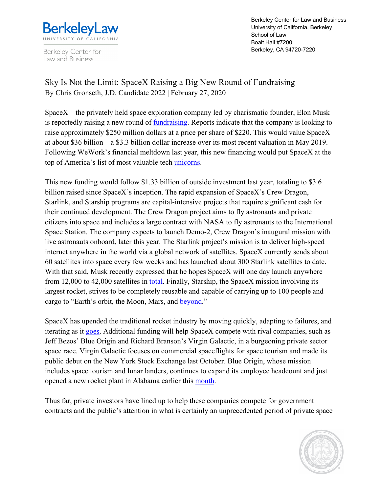

Berkeley Center for Law and Business

Berkeley Center for Law and Business University of California, Berkeley School of Law Boalt Hall #7200 Berkeley, CA 94720-7220

Sky Is Not the Limit: SpaceX Raising a Big New Round of Fundraising By Chris Gronseth, J.D. Candidate 2022 | February 27, 2020

SpaceX – the privately held space exploration company led by charismatic founder, Elon Musk – is reportedly raising a new round of fundraising. Reports indicate that the company is looking to raise approximately \$250 million dollars at a price per share of \$220. This would value SpaceX at about \$36 billion – a \$3.3 billion dollar increase over its most recent valuation in May 2019. Following WeWork's financial meltdown last year, this new financing would put SpaceX at the top of America's list of most valuable tech unicorns.

This new funding would follow \$1.33 billion of outside investment last year, totaling to \$3.6 billion raised since SpaceX's inception. The rapid expansion of SpaceX's Crew Dragon, Starlink, and Starship programs are capital-intensive projects that require significant cash for their continued development. The Crew Dragon project aims to fly astronauts and private citizens into space and includes a large contract with NASA to fly astronauts to the International Space Station. The company expects to launch Demo-2, Crew Dragon's inaugural mission with live astronauts onboard, later this year. The Starlink project's mission is to deliver high-speed internet anywhere in the world via a global network of satellites. SpaceX currently sends about 60 satellites into space every few weeks and has launched about 300 Starlink satellites to date. With that said, Musk recently expressed that he hopes SpaceX will one day launch anywhere from 12,000 to 42,000 satellites in total. Finally, Starship, the SpaceX mission involving its largest rocket, strives to be completely reusable and capable of carrying up to 100 people and cargo to "Earth's orbit, the Moon, Mars, and beyond."

SpaceX has upended the traditional rocket industry by moving quickly, adapting to failures, and iterating as it goes. Additional funding will help SpaceX compete with rival companies, such as Jeff Bezos' Blue Origin and Richard Branson's Virgin Galactic, in a burgeoning private sector space race. Virgin Galactic focuses on commercial spaceflights for space tourism and made its public debut on the New York Stock Exchange last October. Blue Origin, whose mission includes space tourism and lunar landers, continues to expand its employee headcount and just opened a new rocket plant in Alabama earlier this month.

Thus far, private investors have lined up to help these companies compete for government contracts and the public's attention in what is certainly an unprecedented period of private space